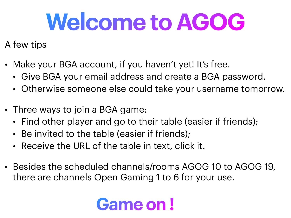## **Welcome to AGOG**

## A few tips

- Make your BGA account, if you haven't yet! It's free.
	- Give BGA your email address and create a BGA password.
	- Otherwise someone else could take your username tomorrow.
- Three ways to join a BGA game:
	- Find other player and go to their table (easier if friends);
	- Be invited to the table (easier if friends);
	- Receive the URL of the table in text, click it.
- Besides the scheduled channels/rooms AGOG 10 to AGOG 19, there are channels Open Gaming 1 to 6 for your use.

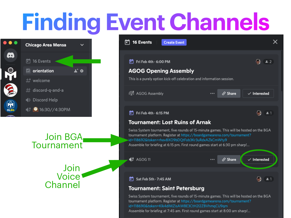## **Finding Event Channels**



Ø



Assemble for briefing at 7:45 am. First round games start at 8:00 am sharp!...